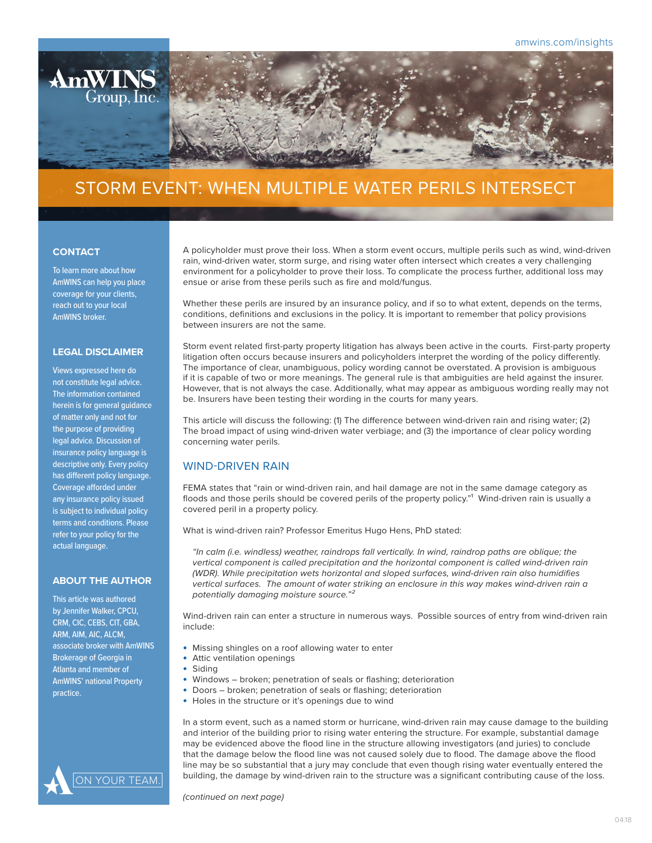

# STORM EVENT: WHEN MULTIPLE WATER PERILS INTERSECT

#### **CONTACT**

To learn more about how AmWINS can help you place coverage for your clients, reach out to your local AmWINS broker.

### **LEGAL DISCLAIMER**

Views expressed here do not constitute legal advice. The information contained herein is for general guidance of matter only and not for the purpose of providing legal advice. Discussion of insurance policy language is descriptive only. Every policy has different policy language. Coverage afforded under any insurance policy issued is subject to individual policy terms and conditions. Please refer to your policy for the actual language.

#### **ABOUT THE AUTHOR**

This article was authored by Jennifer Walker, CPCU, CRM, CIC, CEBS, CIT, GBA, ARM, AIM, AIC, ALCM, associate broker with AmWINS Brokerage of Georgia in Atlanta and member of AmWINS' national Property practice.



A policyholder must prove their loss. When a storm event occurs, multiple perils such as wind, wind-driven rain, wind-driven water, storm surge, and rising water often intersect which creates a very challenging environment for a policyholder to prove their loss. To complicate the process further, additional loss may ensue or arise from these perils such as fire and mold/fungus.

Whether these perils are insured by an insurance policy, and if so to what extent, depends on the terms, conditions, definitions and exclusions in the policy. It is important to remember that policy provisions between insurers are not the same.

Storm event related first-party property litigation has always been active in the courts. First-party property litigation often occurs because insurers and policyholders interpret the wording of the policy differently. The importance of clear, unambiguous, policy wording cannot be overstated. A provision is ambiguous if it is capable of two or more meanings. The general rule is that ambiguities are held against the insurer. However, that is not always the case. Additionally, what may appear as ambiguous wording really may not be. Insurers have been testing their wording in the courts for many years.

This article will discuss the following: (1) The difference between wind-driven rain and rising water; (2) The broad impact of using wind-driven water verbiage; and (3) the importance of clear policy wording concerning water perils.

# WIND-DRIVEN RAIN

FEMA states that "rain or wind-driven rain, and hail damage are not in the same damage category as floods and those perils should be covered perils of the property policy."<sup>1</sup> Wind-driven rain is usually a covered peril in a property policy.

What is wind-driven rain? Professor Emeritus Hugo Hens, PhD stated:

*"In calm (i.e. windless) weather, raindrops fall vertically. In wind, raindrop paths are oblique; the vertical component is called precipitation and the horizontal component is called wind-driven rain (WDR). While precipitation wets horizontal and sloped surfaces, wind-driven rain also humidifies vertical surfaces. The amount of water striking an enclosure in this way makes wind-driven rain a potentially damaging moisture source."²* 

Wind-driven rain can enter a structure in numerous ways. Possible sources of entry from wind-driven rain include:

- Missing shingles on a roof allowing water to enter
- Attic ventilation openings
- **Siding** 
	- Windows broken; penetration of seals or flashing; deterioration
- Doors broken; penetration of seals or flashing; deterioration
- Holes in the structure or it's openings due to wind

In a storm event, such as a named storm or hurricane, wind-driven rain may cause damage to the building and interior of the building prior to rising water entering the structure. For example, substantial damage may be evidenced above the flood line in the structure allowing investigators (and juries) to conclude that the damage below the flood line was not caused solely due to flood. The damage above the flood line may be so substantial that a jury may conclude that even though rising water eventually entered the building, the damage by wind-driven rain to the structure was a significant contributing cause of the loss.

*(continued on next page)*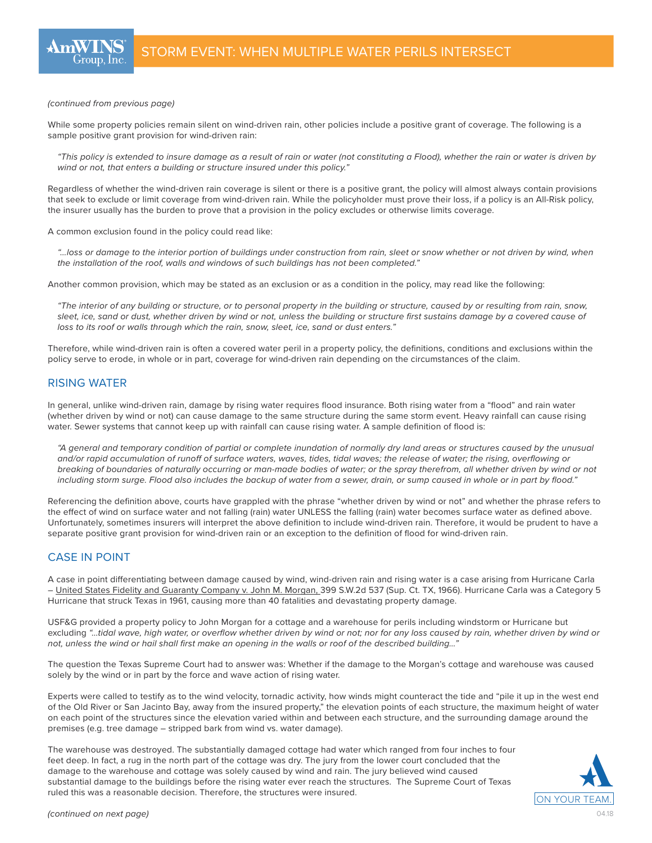

*(continued from previous page)*

While some property policies remain silent on wind-driven rain, other policies include a positive grant of coverage. The following is a sample positive grant provision for wind-driven rain:

*"This policy is extended to insure damage as a result of rain or water (not constituting a Flood), whether the rain or water is driven by wind or not, that enters a building or structure insured under this policy."*

Regardless of whether the wind-driven rain coverage is silent or there is a positive grant, the policy will almost always contain provisions that seek to exclude or limit coverage from wind-driven rain. While the policyholder must prove their loss, if a policy is an All-Risk policy, the insurer usually has the burden to prove that a provision in the policy excludes or otherwise limits coverage.

A common exclusion found in the policy could read like:

*"…loss or damage to the interior portion of buildings under construction from rain, sleet or snow whether or not driven by wind, when the installation of the roof, walls and windows of such buildings has not been completed."* 

Another common provision, which may be stated as an exclusion or as a condition in the policy, may read like the following:

*"The interior of any building or structure, or to personal property in the building or structure, caused by or resulting from rain, snow, sleet, ice, sand or dust, whether driven by wind or not, unless the building or structure first sustains damage by a covered cause of loss to its roof or walls through which the rain, snow, sleet, ice, sand or dust enters."*

Therefore, while wind-driven rain is often a covered water peril in a property policy, the definitions, conditions and exclusions within the policy serve to erode, in whole or in part, coverage for wind-driven rain depending on the circumstances of the claim.

# RISING WATER

In general, unlike wind-driven rain, damage by rising water requires flood insurance. Both rising water from a "flood" and rain water (whether driven by wind or not) can cause damage to the same structure during the same storm event. Heavy rainfall can cause rising water. Sewer systems that cannot keep up with rainfall can cause rising water. A sample definition of flood is:

*"A general and temporary condition of partial or complete inundation of normally dry land areas or structures caused by the unusual and/or rapid accumulation of runoff of surface waters, waves, tides, tidal waves; the release of water; the rising, overflowing or breaking of boundaries of naturally occurring or man-made bodies of water; or the spray therefrom, all whether driven by wind or not including storm surge. Flood also includes the backup of water from a sewer, drain, or sump caused in whole or in part by flood."*

Referencing the definition above, courts have grappled with the phrase "whether driven by wind or not" and whether the phrase refers to the effect of wind on surface water and not falling (rain) water UNLESS the falling (rain) water becomes surface water as defined above. Unfortunately, sometimes insurers will interpret the above definition to include wind-driven rain. Therefore, it would be prudent to have a separate positive grant provision for wind-driven rain or an exception to the definition of flood for wind-driven rain.

## CASE IN POINT

A case in point differentiating between damage caused by wind, wind-driven rain and rising water is a case arising from Hurricane Carla – United States Fidelity and Guaranty Company v. John M. Morgan, 399 S.W.2d 537 (Sup. Ct. TX, 1966). Hurricane Carla was a Category 5 Hurricane that struck Texas in 1961, causing more than 40 fatalities and devastating property damage.

USF&G provided a property policy to John Morgan for a cottage and a warehouse for perils including windstorm or Hurricane but excluding *"…tidal wave, high water, or overflow whether driven by wind or not; nor for any loss caused by rain, whether driven by wind or not, unless the wind or hail shall first make an opening in the walls or roof of the described building…"*

The question the Texas Supreme Court had to answer was: Whether if the damage to the Morgan's cottage and warehouse was caused solely by the wind or in part by the force and wave action of rising water.

Experts were called to testify as to the wind velocity, tornadic activity, how winds might counteract the tide and "pile it up in the west end of the Old River or San Jacinto Bay, away from the insured property," the elevation points of each structure, the maximum height of water on each point of the structures since the elevation varied within and between each structure, and the surrounding damage around the premises (e.g. tree damage – stripped bark from wind vs. water damage).

The warehouse was destroyed. The substantially damaged cottage had water which ranged from four inches to four feet deep. In fact, a rug in the north part of the cottage was dry. The jury from the lower court concluded that the damage to the warehouse and cottage was solely caused by wind and rain. The jury believed wind caused substantial damage to the buildings before the rising water ever reach the structures. The Supreme Court of Texas ruled this was a reasonable decision. Therefore, the structures were insured.